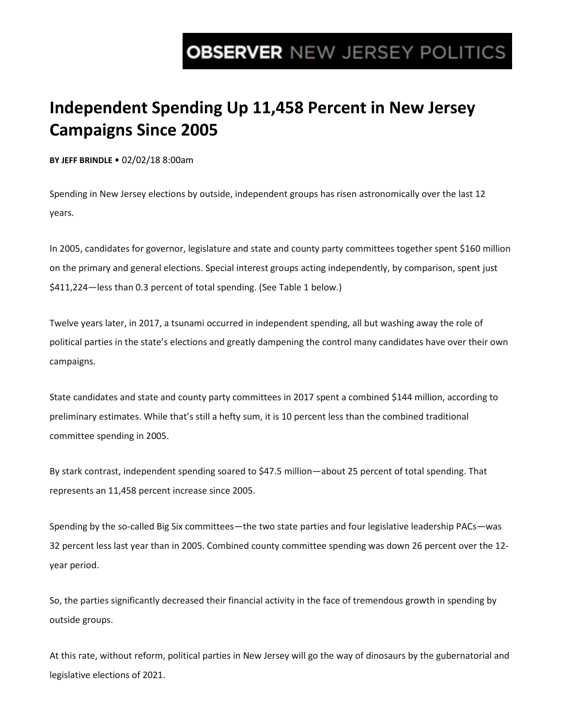# **OBSERVER NEW JERSEY POLITICS**

## **Independent Spending Up 11,458 Percent in New Jersey Campaigns Since 2005**

**BY JEFF BRINDLE** • 02/02/18 8:00am

Spending in New Jersey elections by outside, independent groups has risen astronomically over the last 12 years.

In 2005, candidates for governor, legislature and state and county party committees together spent \$160 million on the primary and general elections. Special interest groups acting independently, by comparison, spent just \$411,224—less than 0.3 percent of total spending. (See Table 1 below.)

Twelve years later, in 2017, a tsunami occurred in independent spending, all but washing away the role of political parties in the state's elections and greatly dampening the control many candidates have over their own campaigns.

State candidates and state and county party committees in 2017 spent a combined \$144 million, according to preliminary estimates. While that's still a hefty sum, it is 10 percent less than the combined traditional committee spending in 2005.

By stark contrast, independent spending soared to \$47.5 million—about 25 percent of total spending. That represents an 11,458 percent increase since 2005.

Spending by the so-called Big Six committees—the two state parties and four legislative leadership PACs—was 32 percent less last year than in 2005. Combined county committee spending was down 26 percent over the 12 year period.

So, the parties significantly decreased their financial activity in the face of tremendous growth in spending by outside groups.

At this rate, without reform, political parties in New Jersey will go the way of dinosaurs by the gubernatorial and legislative elections of 2021.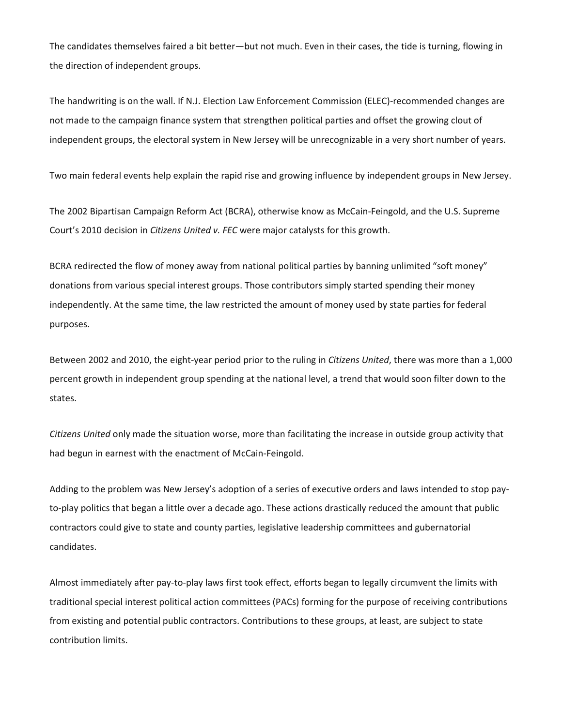The candidates themselves faired a bit better—but not much. Even in their cases, the tide is turning, flowing in the direction of independent groups.

The handwriting is on the wall. If N.J. Election Law Enforcement Commission (ELEC)-recommended changes are not made to the campaign finance system that strengthen political parties and offset the growing clout of independent groups, the electoral system in New Jersey will be unrecognizable in a very short number of years.

Two main federal events help explain the rapid rise and growing influence by independent groups in New Jersey.

The 2002 Bipartisan Campaign Reform Act (BCRA), otherwise know as McCain-Feingold, and the U.S. Supreme Court's 2010 decision in *Citizens United v. FEC* were major catalysts for this growth.

BCRA redirected the flow of money away from national political parties by banning unlimited "soft money" donations from various special interest groups. Those contributors simply started spending their money independently. At the same time, the law restricted the amount of money used by state parties for federal purposes.

Between 2002 and 2010, the eight-year period prior to the ruling in *Citizens United*, there was more than a 1,000 percent growth in independent group spending at the national level, a trend that would soon filter down to the states.

*Citizens United* only made the situation worse, more than facilitating the increase in outside group activity that had begun in earnest with the enactment of McCain-Feingold.

Adding to the problem was New Jersey's adoption of a series of executive orders and laws intended to stop payto-play politics that began a little over a decade ago. These actions drastically reduced the amount that public contractors could give to state and county parties, legislative leadership committees and gubernatorial candidates.

Almost immediately after pay-to-play laws first took effect, efforts began to legally circumvent the limits with traditional special interest political action committees (PACs) forming for the purpose of receiving contributions from existing and potential public contractors. Contributions to these groups, at least, are subject to state contribution limits.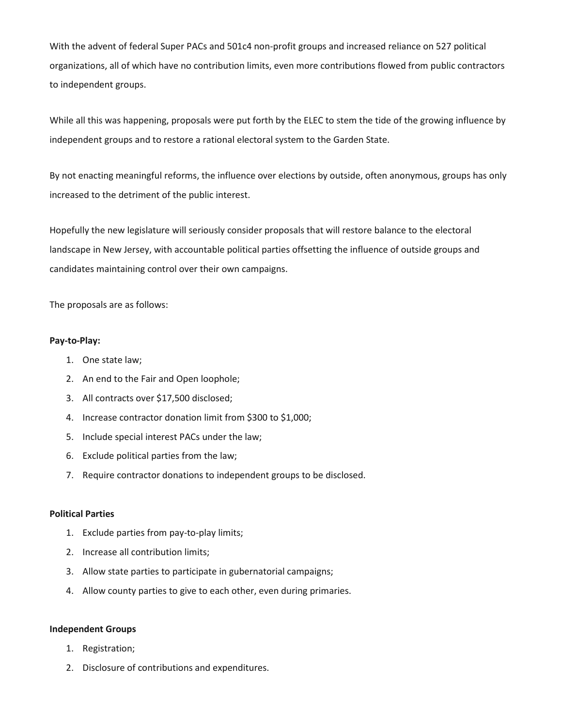With the advent of federal Super PACs and 501c4 non-profit groups and increased reliance on 527 political organizations, all of which have no contribution limits, even more contributions flowed from public contractors to independent groups.

While all this was happening, proposals were put forth by the ELEC to stem the tide of the growing influence by independent groups and to restore a rational electoral system to the Garden State.

By not enacting meaningful reforms, the influence over elections by outside, often anonymous, groups has only increased to the detriment of the public interest.

Hopefully the new legislature will seriously consider proposals that will restore balance to the electoral landscape in New Jersey, with accountable political parties offsetting the influence of outside groups and candidates maintaining control over their own campaigns.

The proposals are as follows:

#### **Pay-to-Play:**

- 1. One state law;
- 2. An end to the Fair and Open loophole;
- 3. All contracts over \$17,500 disclosed;
- 4. Increase contractor donation limit from \$300 to \$1,000;
- 5. Include special interest PACs under the law;
- 6. Exclude political parties from the law;
- 7. Require contractor donations to independent groups to be disclosed.

### **Political Parties**

- 1. Exclude parties from pay-to-play limits;
- 2. Increase all contribution limits;
- 3. Allow state parties to participate in gubernatorial campaigns;
- 4. Allow county parties to give to each other, even during primaries.

#### **Independent Groups**

- 1. Registration;
- 2. Disclosure of contributions and expenditures.